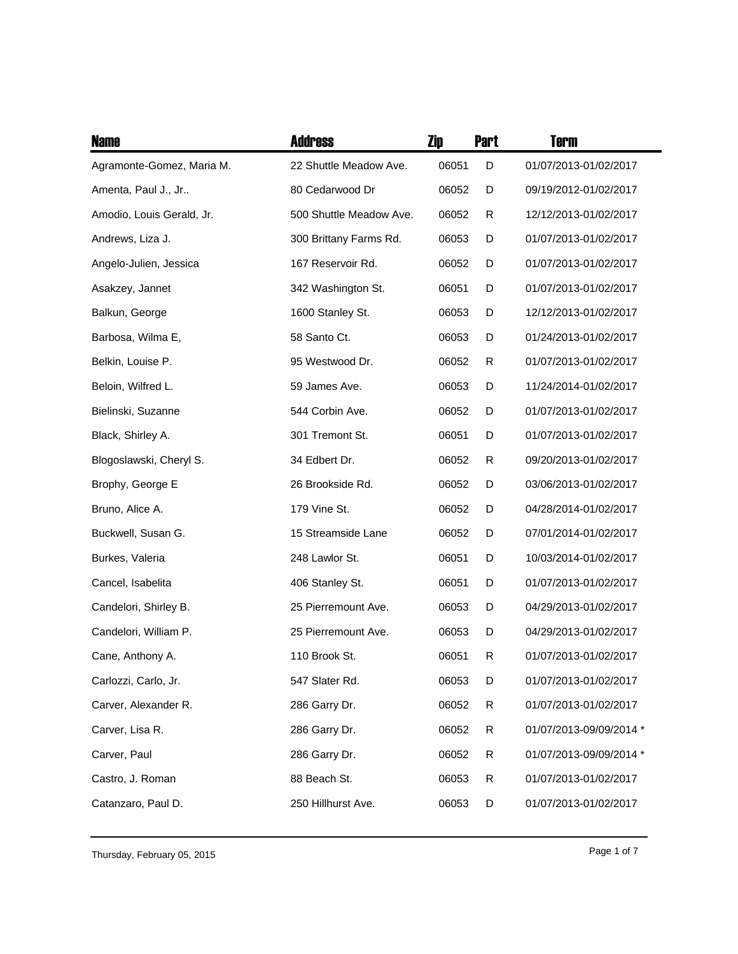| <b>Name</b>               | <b>Address</b>          | Zip   | <b>Part</b> | <b>Term</b>             |
|---------------------------|-------------------------|-------|-------------|-------------------------|
| Agramonte-Gomez, Maria M. | 22 Shuttle Meadow Ave.  | 06051 | D           | 01/07/2013-01/02/2017   |
| Amenta, Paul J., Jr       | 80 Cedarwood Dr         | 06052 | D           | 09/19/2012-01/02/2017   |
| Amodio, Louis Gerald, Jr. | 500 Shuttle Meadow Ave. | 06052 | R           | 12/12/2013-01/02/2017   |
| Andrews, Liza J.          | 300 Brittany Farms Rd.  | 06053 | D           | 01/07/2013-01/02/2017   |
| Angelo-Julien, Jessica    | 167 Reservoir Rd.       | 06052 | D           | 01/07/2013-01/02/2017   |
| Asakzey, Jannet           | 342 Washington St.      | 06051 | D           | 01/07/2013-01/02/2017   |
| Balkun, George            | 1600 Stanley St.        | 06053 | D           | 12/12/2013-01/02/2017   |
| Barbosa, Wilma E,         | 58 Santo Ct.            | 06053 | D           | 01/24/2013-01/02/2017   |
| Belkin, Louise P.         | 95 Westwood Dr.         | 06052 | R           | 01/07/2013-01/02/2017   |
| Beloin, Wilfred L.        | 59 James Ave.           | 06053 | D           | 11/24/2014-01/02/2017   |
| Bielinski, Suzanne        | 544 Corbin Ave.         | 06052 | D           | 01/07/2013-01/02/2017   |
| Black, Shirley A.         | 301 Tremont St.         | 06051 | D           | 01/07/2013-01/02/2017   |
| Blogoslawski, Cheryl S.   | 34 Edbert Dr.           | 06052 | R           | 09/20/2013-01/02/2017   |
| Brophy, George E          | 26 Brookside Rd.        | 06052 | D           | 03/06/2013-01/02/2017   |
| Bruno, Alice A.           | 179 Vine St.            | 06052 | D           | 04/28/2014-01/02/2017   |
| Buckwell, Susan G.        | 15 Streamside Lane      | 06052 | D           | 07/01/2014-01/02/2017   |
| Burkes, Valeria           | 248 Lawlor St.          | 06051 | D           | 10/03/2014-01/02/2017   |
| Cancel, Isabelita         | 406 Stanley St.         | 06051 | D           | 01/07/2013-01/02/2017   |
| Candelori, Shirley B.     | 25 Pierremount Ave.     | 06053 | D           | 04/29/2013-01/02/2017   |
| Candelori, William P.     | 25 Pierremount Ave.     | 06053 | D           | 04/29/2013-01/02/2017   |
| Cane, Anthony A.          | 110 Brook St.           | 06051 | R           | 01/07/2013-01/02/2017   |
| Carlozzi, Carlo, Jr.      | 547 Slater Rd.          | 06053 | D           | 01/07/2013-01/02/2017   |
| Carver, Alexander R.      | 286 Garry Dr.           | 06052 | R           | 01/07/2013-01/02/2017   |
| Carver, Lisa R.           | 286 Garry Dr.           | 06052 | R           | 01/07/2013-09/09/2014 * |
| Carver, Paul              | 286 Garry Dr.           | 06052 | R           | 01/07/2013-09/09/2014 * |
| Castro, J. Roman          | 88 Beach St.            | 06053 | R           | 01/07/2013-01/02/2017   |
| Catanzaro, Paul D.        | 250 Hillhurst Ave.      | 06053 | D           | 01/07/2013-01/02/2017   |

Page 1 of 7 Thursday, February 05, 2015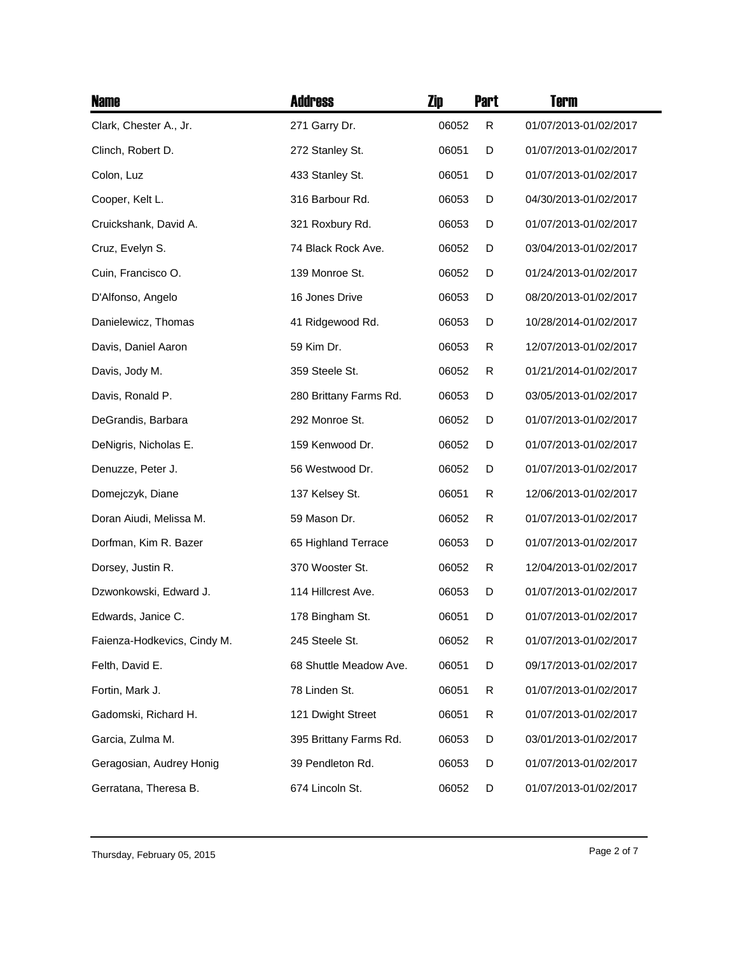| <b>Name</b>                 | <b>Address</b>         | Zip   | <b>Part</b> | <b>Term</b>           |
|-----------------------------|------------------------|-------|-------------|-----------------------|
| Clark, Chester A., Jr.      | 271 Garry Dr.          | 06052 | R           | 01/07/2013-01/02/2017 |
| Clinch, Robert D.           | 272 Stanley St.        | 06051 | D           | 01/07/2013-01/02/2017 |
| Colon, Luz                  | 433 Stanley St.        | 06051 | D           | 01/07/2013-01/02/2017 |
| Cooper, Kelt L.             | 316 Barbour Rd.        | 06053 | D           | 04/30/2013-01/02/2017 |
| Cruickshank, David A.       | 321 Roxbury Rd.        | 06053 | D           | 01/07/2013-01/02/2017 |
| Cruz, Evelyn S.             | 74 Black Rock Ave.     | 06052 | D           | 03/04/2013-01/02/2017 |
| Cuin, Francisco O.          | 139 Monroe St.         | 06052 | D           | 01/24/2013-01/02/2017 |
| D'Alfonso, Angelo           | 16 Jones Drive         | 06053 | D           | 08/20/2013-01/02/2017 |
| Danielewicz, Thomas         | 41 Ridgewood Rd.       | 06053 | D           | 10/28/2014-01/02/2017 |
| Davis, Daniel Aaron         | 59 Kim Dr.             | 06053 | R           | 12/07/2013-01/02/2017 |
| Davis, Jody M.              | 359 Steele St.         | 06052 | R           | 01/21/2014-01/02/2017 |
| Davis, Ronald P.            | 280 Brittany Farms Rd. | 06053 | D           | 03/05/2013-01/02/2017 |
| DeGrandis, Barbara          | 292 Monroe St.         | 06052 | D           | 01/07/2013-01/02/2017 |
| DeNigris, Nicholas E.       | 159 Kenwood Dr.        | 06052 | D           | 01/07/2013-01/02/2017 |
| Denuzze, Peter J.           | 56 Westwood Dr.        | 06052 | D           | 01/07/2013-01/02/2017 |
| Domejczyk, Diane            | 137 Kelsey St.         | 06051 | R           | 12/06/2013-01/02/2017 |
| Doran Aiudi, Melissa M.     | 59 Mason Dr.           | 06052 | R           | 01/07/2013-01/02/2017 |
| Dorfman, Kim R. Bazer       | 65 Highland Terrace    | 06053 | D           | 01/07/2013-01/02/2017 |
| Dorsey, Justin R.           | 370 Wooster St.        | 06052 | R           | 12/04/2013-01/02/2017 |
| Dzwonkowski, Edward J.      | 114 Hillcrest Ave.     | 06053 | D           | 01/07/2013-01/02/2017 |
| Edwards, Janice C.          | 178 Bingham St.        | 06051 | D           | 01/07/2013-01/02/2017 |
| Faienza-Hodkevics, Cindy M. | 245 Steele St.         | 06052 | R           | 01/07/2013-01/02/2017 |
| Felth, David E.             | 68 Shuttle Meadow Ave. | 06051 | D           | 09/17/2013-01/02/2017 |
| Fortin, Mark J.             | 78 Linden St.          | 06051 | R           | 01/07/2013-01/02/2017 |
| Gadomski, Richard H.        | 121 Dwight Street      | 06051 | R           | 01/07/2013-01/02/2017 |
| Garcia, Zulma M.            | 395 Brittany Farms Rd. | 06053 | D           | 03/01/2013-01/02/2017 |
| Geragosian, Audrey Honig    | 39 Pendleton Rd.       | 06053 | D           | 01/07/2013-01/02/2017 |
| Gerratana, Theresa B.       | 674 Lincoln St.        | 06052 | D           | 01/07/2013-01/02/2017 |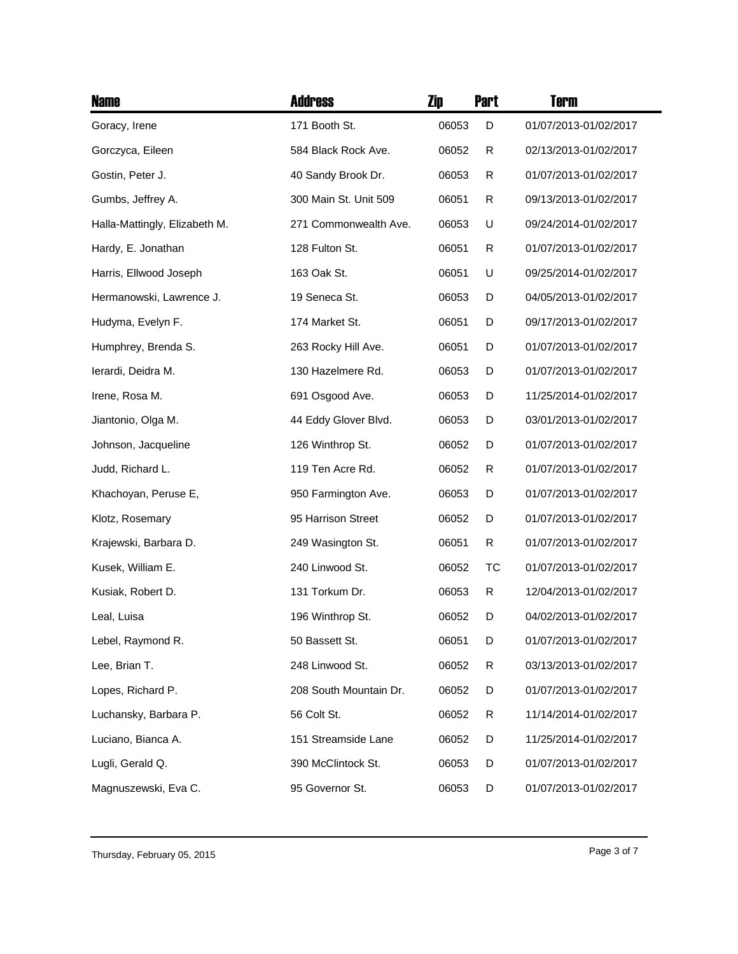| <b>Name</b>                   | <b>Address</b>         | Zip   | <b>Part</b> | Term                  |
|-------------------------------|------------------------|-------|-------------|-----------------------|
| Goracy, Irene                 | 171 Booth St.          | 06053 | D           | 01/07/2013-01/02/2017 |
| Gorczyca, Eileen              | 584 Black Rock Ave.    | 06052 | R           | 02/13/2013-01/02/2017 |
| Gostin, Peter J.              | 40 Sandy Brook Dr.     | 06053 | R           | 01/07/2013-01/02/2017 |
| Gumbs, Jeffrey A.             | 300 Main St. Unit 509  | 06051 | R           | 09/13/2013-01/02/2017 |
| Halla-Mattingly, Elizabeth M. | 271 Commonwealth Ave.  | 06053 | U           | 09/24/2014-01/02/2017 |
| Hardy, E. Jonathan            | 128 Fulton St.         | 06051 | R           | 01/07/2013-01/02/2017 |
| Harris, Ellwood Joseph        | 163 Oak St.            | 06051 | U           | 09/25/2014-01/02/2017 |
| Hermanowski, Lawrence J.      | 19 Seneca St.          | 06053 | D           | 04/05/2013-01/02/2017 |
| Hudyma, Evelyn F.             | 174 Market St.         | 06051 | D           | 09/17/2013-01/02/2017 |
| Humphrey, Brenda S.           | 263 Rocky Hill Ave.    | 06051 | D           | 01/07/2013-01/02/2017 |
| lerardi, Deidra M.            | 130 Hazelmere Rd.      | 06053 | D           | 01/07/2013-01/02/2017 |
| Irene, Rosa M.                | 691 Osgood Ave.        | 06053 | D           | 11/25/2014-01/02/2017 |
| Jiantonio, Olga M.            | 44 Eddy Glover Blvd.   | 06053 | D           | 03/01/2013-01/02/2017 |
| Johnson, Jacqueline           | 126 Winthrop St.       | 06052 | D           | 01/07/2013-01/02/2017 |
| Judd, Richard L.              | 119 Ten Acre Rd.       | 06052 | R           | 01/07/2013-01/02/2017 |
| Khachoyan, Peruse E,          | 950 Farmington Ave.    | 06053 | D           | 01/07/2013-01/02/2017 |
| Klotz, Rosemary               | 95 Harrison Street     | 06052 | D           | 01/07/2013-01/02/2017 |
| Krajewski, Barbara D.         | 249 Wasington St.      | 06051 | R           | 01/07/2013-01/02/2017 |
| Kusek, William E.             | 240 Linwood St.        | 06052 | TC          | 01/07/2013-01/02/2017 |
| Kusiak, Robert D.             | 131 Torkum Dr.         | 06053 | R           | 12/04/2013-01/02/2017 |
| Leal, Luisa                   | 196 Winthrop St.       | 06052 | D           | 04/02/2013-01/02/2017 |
| Lebel, Raymond R.             | 50 Bassett St.         | 06051 | D           | 01/07/2013-01/02/2017 |
| Lee, Brian T.                 | 248 Linwood St.        | 06052 | R           | 03/13/2013-01/02/2017 |
| Lopes, Richard P.             | 208 South Mountain Dr. | 06052 | D           | 01/07/2013-01/02/2017 |
| Luchansky, Barbara P.         | 56 Colt St.            | 06052 | R           | 11/14/2014-01/02/2017 |
| Luciano, Bianca A.            | 151 Streamside Lane    | 06052 | D           | 11/25/2014-01/02/2017 |
| Lugli, Gerald Q.              | 390 McClintock St.     | 06053 | D           | 01/07/2013-01/02/2017 |
| Magnuszewski, Eva C.          | 95 Governor St.        | 06053 | D           | 01/07/2013-01/02/2017 |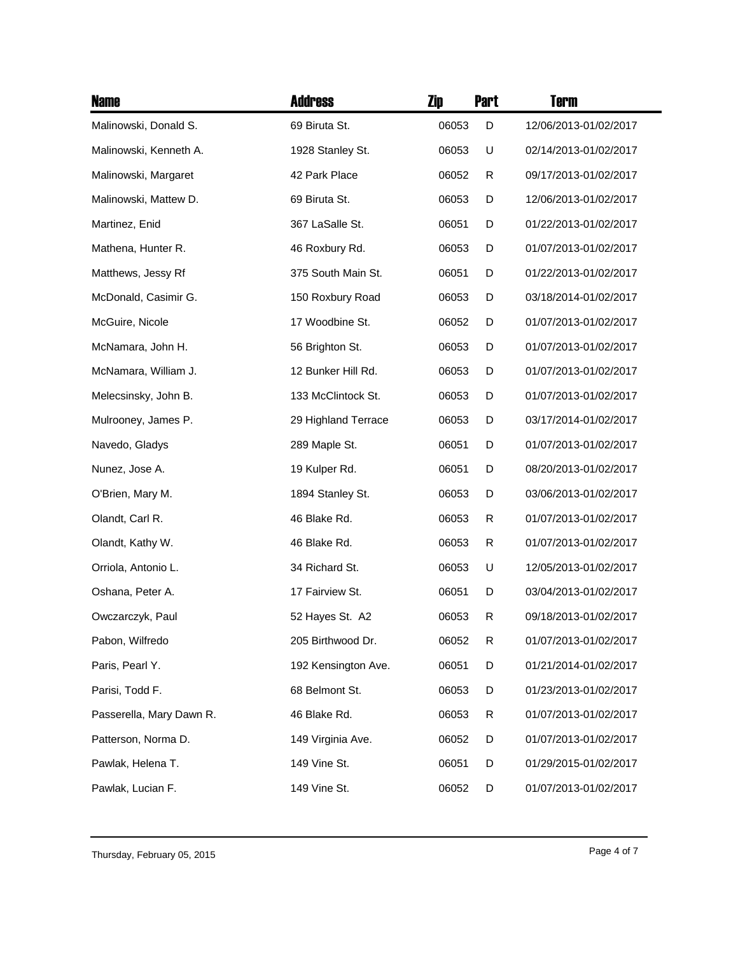| <b>Name</b>              | <b>Address</b>      | Zip   | <b>Part</b> | Term                  |
|--------------------------|---------------------|-------|-------------|-----------------------|
| Malinowski, Donald S.    | 69 Biruta St.       | 06053 | D           | 12/06/2013-01/02/2017 |
| Malinowski, Kenneth A.   | 1928 Stanley St.    | 06053 | U           | 02/14/2013-01/02/2017 |
| Malinowski, Margaret     | 42 Park Place       | 06052 | R           | 09/17/2013-01/02/2017 |
| Malinowski, Mattew D.    | 69 Biruta St.       | 06053 | D           | 12/06/2013-01/02/2017 |
| Martinez, Enid           | 367 LaSalle St.     | 06051 | D           | 01/22/2013-01/02/2017 |
| Mathena, Hunter R.       | 46 Roxbury Rd.      | 06053 | D           | 01/07/2013-01/02/2017 |
| Matthews, Jessy Rf       | 375 South Main St.  | 06051 | D           | 01/22/2013-01/02/2017 |
| McDonald, Casimir G.     | 150 Roxbury Road    | 06053 | D           | 03/18/2014-01/02/2017 |
| McGuire, Nicole          | 17 Woodbine St.     | 06052 | D           | 01/07/2013-01/02/2017 |
| McNamara, John H.        | 56 Brighton St.     | 06053 | D           | 01/07/2013-01/02/2017 |
| McNamara, William J.     | 12 Bunker Hill Rd.  | 06053 | D           | 01/07/2013-01/02/2017 |
| Melecsinsky, John B.     | 133 McClintock St.  | 06053 | D           | 01/07/2013-01/02/2017 |
| Mulrooney, James P.      | 29 Highland Terrace | 06053 | D           | 03/17/2014-01/02/2017 |
| Navedo, Gladys           | 289 Maple St.       | 06051 | D           | 01/07/2013-01/02/2017 |
| Nunez, Jose A.           | 19 Kulper Rd.       | 06051 | D           | 08/20/2013-01/02/2017 |
| O'Brien, Mary M.         | 1894 Stanley St.    | 06053 | D           | 03/06/2013-01/02/2017 |
| Olandt, Carl R.          | 46 Blake Rd.        | 06053 | R           | 01/07/2013-01/02/2017 |
| Olandt, Kathy W.         | 46 Blake Rd.        | 06053 | R           | 01/07/2013-01/02/2017 |
| Orriola, Antonio L.      | 34 Richard St.      | 06053 | U           | 12/05/2013-01/02/2017 |
| Oshana, Peter A.         | 17 Fairview St.     | 06051 | D           | 03/04/2013-01/02/2017 |
| Owczarczyk, Paul         | 52 Hayes St. A2     | 06053 | R           | 09/18/2013-01/02/2017 |
| Pabon, Wilfredo          | 205 Birthwood Dr.   | 06052 | R           | 01/07/2013-01/02/2017 |
| Paris, Pearl Y.          | 192 Kensington Ave. | 06051 | D           | 01/21/2014-01/02/2017 |
| Parisi, Todd F.          | 68 Belmont St.      | 06053 | D           | 01/23/2013-01/02/2017 |
| Passerella, Mary Dawn R. | 46 Blake Rd.        | 06053 | R           | 01/07/2013-01/02/2017 |
| Patterson, Norma D.      | 149 Virginia Ave.   | 06052 | D           | 01/07/2013-01/02/2017 |
| Pawlak, Helena T.        | 149 Vine St.        | 06051 | D           | 01/29/2015-01/02/2017 |
| Pawlak, Lucian F.        | 149 Vine St.        | 06052 | D           | 01/07/2013-01/02/2017 |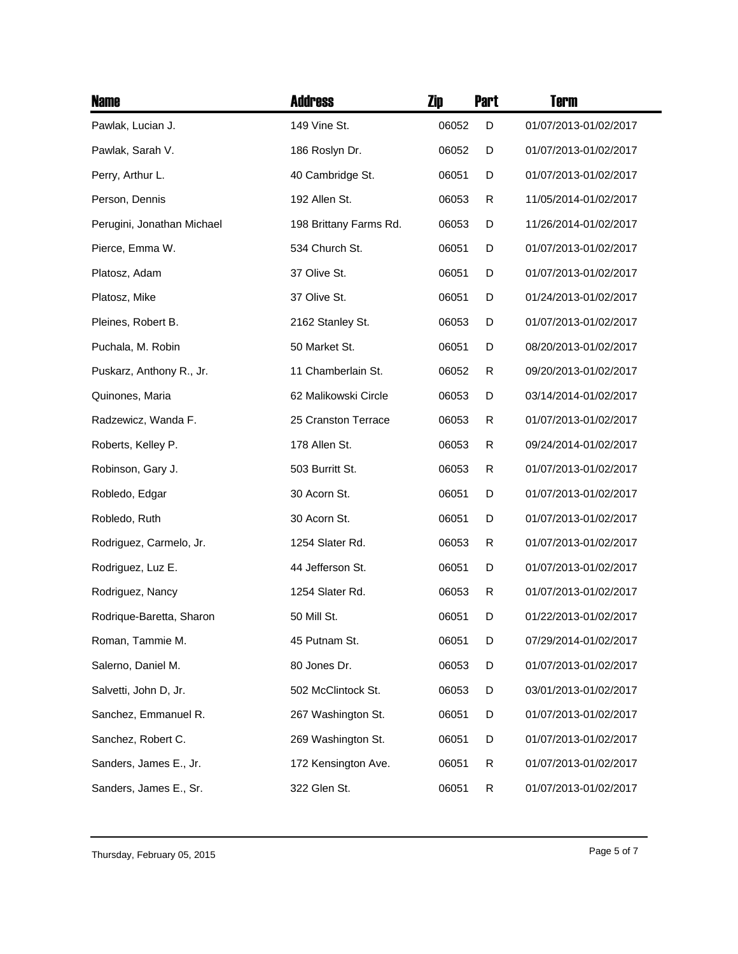| <b>Name</b>                | <b>Address</b>         | Zip   | <b>Part</b> | <b>Term</b>           |
|----------------------------|------------------------|-------|-------------|-----------------------|
| Pawlak, Lucian J.          | 149 Vine St.           | 06052 | D           | 01/07/2013-01/02/2017 |
| Pawlak, Sarah V.           | 186 Roslyn Dr.         | 06052 | D           | 01/07/2013-01/02/2017 |
| Perry, Arthur L.           | 40 Cambridge St.       | 06051 | D           | 01/07/2013-01/02/2017 |
| Person, Dennis             | 192 Allen St.          | 06053 | R           | 11/05/2014-01/02/2017 |
| Perugini, Jonathan Michael | 198 Brittany Farms Rd. | 06053 | D           | 11/26/2014-01/02/2017 |
| Pierce, Emma W.            | 534 Church St.         | 06051 | D           | 01/07/2013-01/02/2017 |
| Platosz, Adam              | 37 Olive St.           | 06051 | D           | 01/07/2013-01/02/2017 |
| Platosz, Mike              | 37 Olive St.           | 06051 | D           | 01/24/2013-01/02/2017 |
| Pleines, Robert B.         | 2162 Stanley St.       | 06053 | D           | 01/07/2013-01/02/2017 |
| Puchala, M. Robin          | 50 Market St.          | 06051 | D           | 08/20/2013-01/02/2017 |
| Puskarz, Anthony R., Jr.   | 11 Chamberlain St.     | 06052 | R           | 09/20/2013-01/02/2017 |
| Quinones, Maria            | 62 Malikowski Circle   | 06053 | D           | 03/14/2014-01/02/2017 |
| Radzewicz, Wanda F.        | 25 Cranston Terrace    | 06053 | R           | 01/07/2013-01/02/2017 |
| Roberts, Kelley P.         | 178 Allen St.          | 06053 | R           | 09/24/2014-01/02/2017 |
| Robinson, Gary J.          | 503 Burritt St.        | 06053 | R           | 01/07/2013-01/02/2017 |
| Robledo, Edgar             | 30 Acorn St.           | 06051 | D           | 01/07/2013-01/02/2017 |
| Robledo, Ruth              | 30 Acorn St.           | 06051 | D           | 01/07/2013-01/02/2017 |
| Rodriguez, Carmelo, Jr.    | 1254 Slater Rd.        | 06053 | R           | 01/07/2013-01/02/2017 |
| Rodriguez, Luz E.          | 44 Jefferson St.       | 06051 | D           | 01/07/2013-01/02/2017 |
| Rodriguez, Nancy           | 1254 Slater Rd.        | 06053 | R           | 01/07/2013-01/02/2017 |
| Rodrique-Baretta, Sharon   | 50 Mill St.            | 06051 | D           | 01/22/2013-01/02/2017 |
| Roman, Tammie M.           | 45 Putnam St.          | 06051 | D           | 07/29/2014-01/02/2017 |
| Salerno, Daniel M.         | 80 Jones Dr.           | 06053 | D           | 01/07/2013-01/02/2017 |
| Salvetti, John D, Jr.      | 502 McClintock St.     | 06053 | D           | 03/01/2013-01/02/2017 |
| Sanchez, Emmanuel R.       | 267 Washington St.     | 06051 | D           | 01/07/2013-01/02/2017 |
| Sanchez, Robert C.         | 269 Washington St.     | 06051 | D           | 01/07/2013-01/02/2017 |
| Sanders, James E., Jr.     | 172 Kensington Ave.    | 06051 | R           | 01/07/2013-01/02/2017 |
| Sanders, James E., Sr.     | 322 Glen St.           | 06051 | R           | 01/07/2013-01/02/2017 |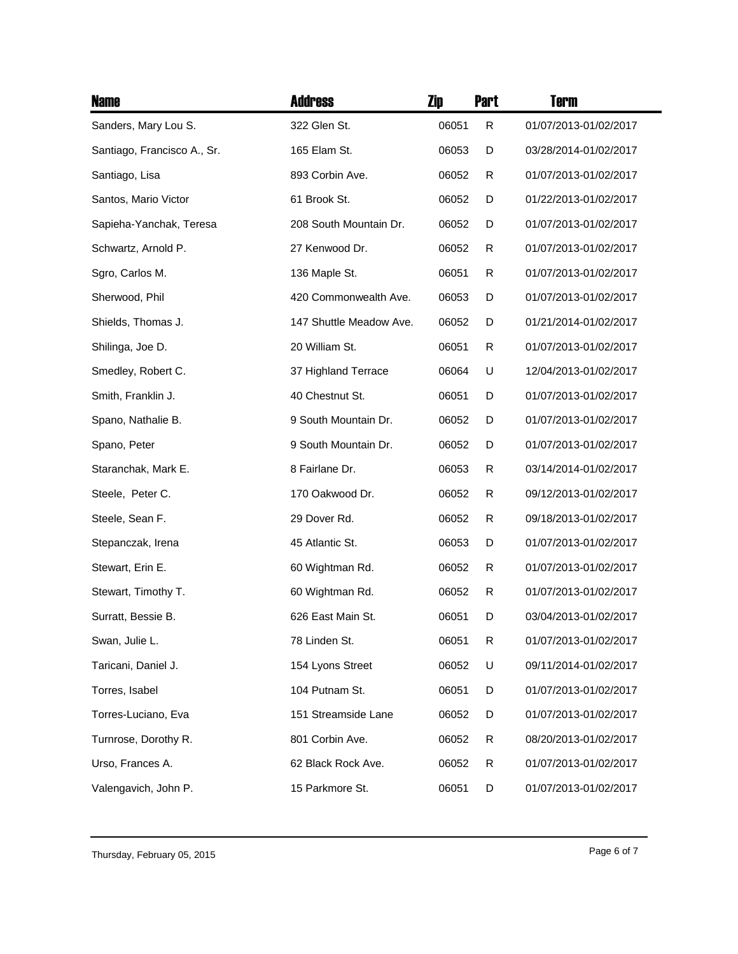| <b>Name</b>                 | <b>Address</b>          | Zip   | <b>Part</b> | <b>Term</b>           |
|-----------------------------|-------------------------|-------|-------------|-----------------------|
| Sanders, Mary Lou S.        | 322 Glen St.            | 06051 | R           | 01/07/2013-01/02/2017 |
| Santiago, Francisco A., Sr. | 165 Elam St.            | 06053 | D           | 03/28/2014-01/02/2017 |
| Santiago, Lisa              | 893 Corbin Ave.         | 06052 | R           | 01/07/2013-01/02/2017 |
| Santos, Mario Victor        | 61 Brook St.            | 06052 | D           | 01/22/2013-01/02/2017 |
| Sapieha-Yanchak, Teresa     | 208 South Mountain Dr.  | 06052 | D           | 01/07/2013-01/02/2017 |
| Schwartz, Arnold P.         | 27 Kenwood Dr.          | 06052 | R           | 01/07/2013-01/02/2017 |
| Sgro, Carlos M.             | 136 Maple St.           | 06051 | R           | 01/07/2013-01/02/2017 |
| Sherwood, Phil              | 420 Commonwealth Ave.   | 06053 | D           | 01/07/2013-01/02/2017 |
| Shields, Thomas J.          | 147 Shuttle Meadow Ave. | 06052 | D           | 01/21/2014-01/02/2017 |
| Shilinga, Joe D.            | 20 William St.          | 06051 | R           | 01/07/2013-01/02/2017 |
| Smedley, Robert C.          | 37 Highland Terrace     | 06064 | U           | 12/04/2013-01/02/2017 |
| Smith, Franklin J.          | 40 Chestnut St.         | 06051 | D           | 01/07/2013-01/02/2017 |
| Spano, Nathalie B.          | 9 South Mountain Dr.    | 06052 | D           | 01/07/2013-01/02/2017 |
| Spano, Peter                | 9 South Mountain Dr.    | 06052 | D           | 01/07/2013-01/02/2017 |
| Staranchak, Mark E.         | 8 Fairlane Dr.          | 06053 | R           | 03/14/2014-01/02/2017 |
| Steele, Peter C.            | 170 Oakwood Dr.         | 06052 | R           | 09/12/2013-01/02/2017 |
| Steele, Sean F.             | 29 Dover Rd.            | 06052 | R           | 09/18/2013-01/02/2017 |
| Stepanczak, Irena           | 45 Atlantic St.         | 06053 | D           | 01/07/2013-01/02/2017 |
| Stewart, Erin E.            | 60 Wightman Rd.         | 06052 | R           | 01/07/2013-01/02/2017 |
| Stewart, Timothy T.         | 60 Wightman Rd.         | 06052 | R           | 01/07/2013-01/02/2017 |
| Surratt, Bessie B.          | 626 East Main St.       | 06051 | D           | 03/04/2013-01/02/2017 |
| Swan, Julie L.              | 78 Linden St.           | 06051 | R           | 01/07/2013-01/02/2017 |
| Taricani, Daniel J.         | 154 Lyons Street        | 06052 | U           | 09/11/2014-01/02/2017 |
| Torres, Isabel              | 104 Putnam St.          | 06051 | D           | 01/07/2013-01/02/2017 |
| Torres-Luciano, Eva         | 151 Streamside Lane     | 06052 | D           | 01/07/2013-01/02/2017 |
| Turnrose, Dorothy R.        | 801 Corbin Ave.         | 06052 | R           | 08/20/2013-01/02/2017 |
| Urso, Frances A.            | 62 Black Rock Ave.      | 06052 | R           | 01/07/2013-01/02/2017 |
| Valengavich, John P.        | 15 Parkmore St.         | 06051 | D           | 01/07/2013-01/02/2017 |